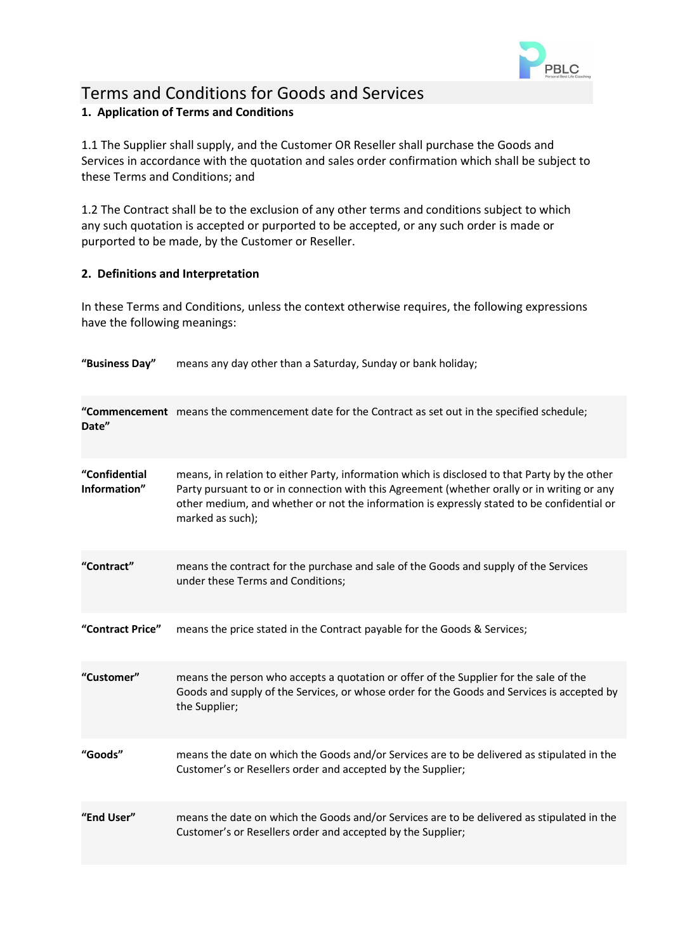

# Terms and Conditions for Goods and Services **1. Application of Terms and Conditions**

1.1 The Supplier shall supply, and the Customer OR Reseller shall purchase the Goods and Services in accordance with the quotation and sales order confirmation which shall be subject to these Terms and Conditions; and

1.2 The Contract shall be to the exclusion of any other terms and conditions subject to which any such quotation is accepted or purported to be accepted, or any such order is made or purported to be made, by the Customer or Reseller.

# **2. Definitions and Interpretation**

In these Terms and Conditions, unless the context otherwise requires, the following expressions have the following meanings:

**"Business Day"** means any day other than a Saturday, Sunday or bank holiday;

| Date"                         | "Commencement means the commencement date for the Contract as set out in the specified schedule;                                                                                                                                                                                                               |
|-------------------------------|----------------------------------------------------------------------------------------------------------------------------------------------------------------------------------------------------------------------------------------------------------------------------------------------------------------|
| "Confidential<br>Information" | means, in relation to either Party, information which is disclosed to that Party by the other<br>Party pursuant to or in connection with this Agreement (whether orally or in writing or any<br>other medium, and whether or not the information is expressly stated to be confidential or<br>marked as such); |
| "Contract"                    | means the contract for the purchase and sale of the Goods and supply of the Services<br>under these Terms and Conditions;                                                                                                                                                                                      |
| "Contract Price"              | means the price stated in the Contract payable for the Goods & Services;                                                                                                                                                                                                                                       |
| "Customer"                    | means the person who accepts a quotation or offer of the Supplier for the sale of the<br>Goods and supply of the Services, or whose order for the Goods and Services is accepted by<br>the Supplier;                                                                                                           |
| "Goods"                       | means the date on which the Goods and/or Services are to be delivered as stipulated in the<br>Customer's or Resellers order and accepted by the Supplier;                                                                                                                                                      |
| "End User"                    | means the date on which the Goods and/or Services are to be delivered as stipulated in the<br>Customer's or Resellers order and accepted by the Supplier;                                                                                                                                                      |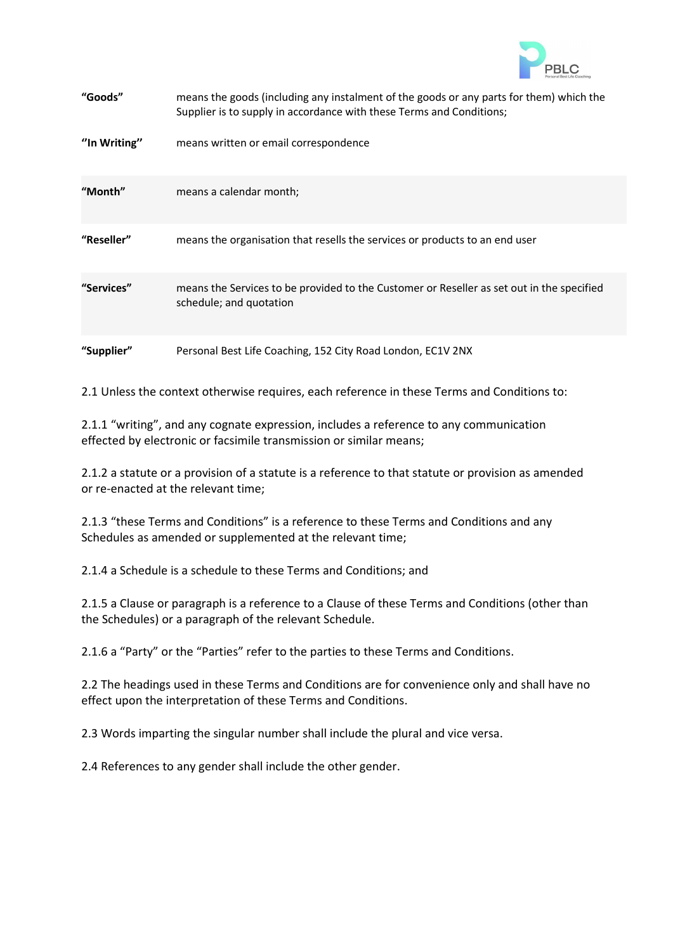

| "Goods"      | means the goods (including any instalment of the goods or any parts for them) which the<br>Supplier is to supply in accordance with these Terms and Conditions; |
|--------------|-----------------------------------------------------------------------------------------------------------------------------------------------------------------|
| "In Writing" | means written or email correspondence                                                                                                                           |
| "Month"      | means a calendar month;                                                                                                                                         |
| "Reseller"   | means the organisation that resells the services or products to an end user                                                                                     |
| "Services"   | means the Services to be provided to the Customer or Reseller as set out in the specified<br>schedule; and quotation                                            |
| "Supplier"   | Personal Best Life Coaching, 152 City Road London, EC1V 2NX                                                                                                     |

2.1 Unless the context otherwise requires, each reference in these Terms and Conditions to:

2.1.1 "writing", and any cognate expression, includes a reference to any communication effected by electronic or facsimile transmission or similar means;

2.1.2 a statute or a provision of a statute is a reference to that statute or provision as amended or re-enacted at the relevant time;

2.1.3 "these Terms and Conditions" is a reference to these Terms and Conditions and any Schedules as amended or supplemented at the relevant time;

2.1.4 a Schedule is a schedule to these Terms and Conditions; and

2.1.5 a Clause or paragraph is a reference to a Clause of these Terms and Conditions (other than the Schedules) or a paragraph of the relevant Schedule.

2.1.6 a "Party" or the "Parties" refer to the parties to these Terms and Conditions.

2.2 The headings used in these Terms and Conditions are for convenience only and shall have no effect upon the interpretation of these Terms and Conditions.

2.3 Words imparting the singular number shall include the plural and vice versa.

2.4 References to any gender shall include the other gender.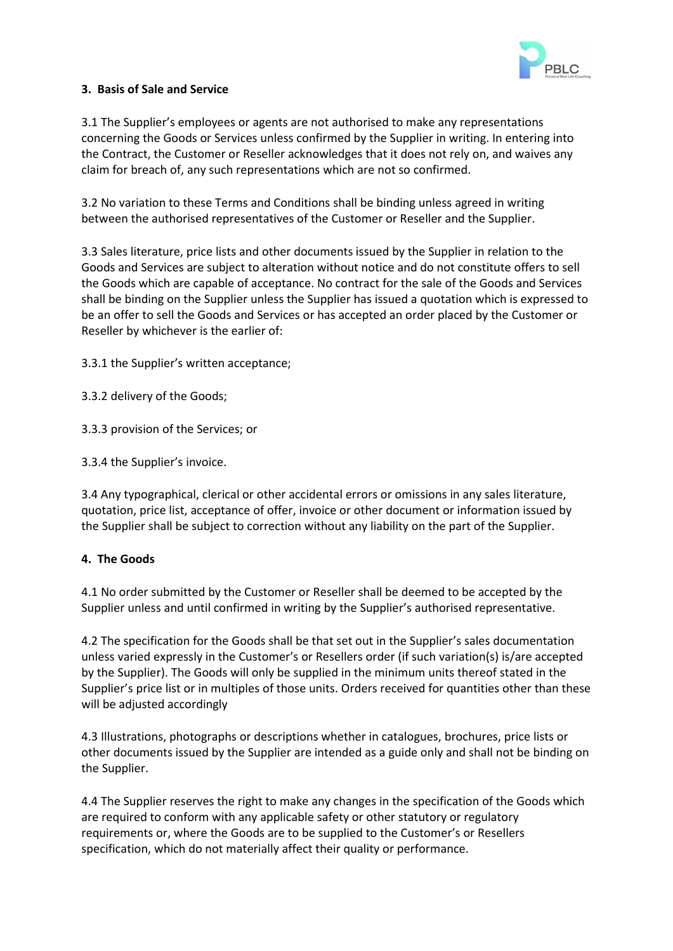

## **3. Basis of Sale and Service**

3.1 The Supplier's employees or agents are not authorised to make any representations concerning the Goods or Services unless confirmed by the Supplier in writing. In entering into the Contract, the Customer or Reseller acknowledges that it does not rely on, and waives any claim for breach of, any such representations which are not so confirmed.

3.2 No variation to these Terms and Conditions shall be binding unless agreed in writing between the authorised representatives of the Customer or Reseller and the Supplier.

3.3 Sales literature, price lists and other documents issued by the Supplier in relation to the Goods and Services are subject to alteration without notice and do not constitute offers to sell the Goods which are capable of acceptance. No contract for the sale of the Goods and Services shall be binding on the Supplier unless the Supplier has issued a quotation which is expressed to be an offer to sell the Goods and Services or has accepted an order placed by the Customer or Reseller by whichever is the earlier of:

3.3.1 the Supplier's written acceptance;

3.3.2 delivery of the Goods;

3.3.3 provision of the Services; or

3.3.4 the Supplier's invoice.

3.4 Any typographical, clerical or other accidental errors or omissions in any sales literature, quotation, price list, acceptance of offer, invoice or other document or information issued by the Supplier shall be subject to correction without any liability on the part of the Supplier.

# **4. The Goods**

4.1 No order submitted by the Customer or Reseller shall be deemed to be accepted by the Supplier unless and until confirmed in writing by the Supplier's authorised representative.

4.2 The specification for the Goods shall be that set out in the Supplier's sales documentation unless varied expressly in the Customer's or Resellers order (if such variation(s) is/are accepted by the Supplier). The Goods will only be supplied in the minimum units thereof stated in the Supplier's price list or in multiples of those units. Orders received for quantities other than these will be adjusted accordingly

4.3 Illustrations, photographs or descriptions whether in catalogues, brochures, price lists or other documents issued by the Supplier are intended as a guide only and shall not be binding on the Supplier.

4.4 The Supplier reserves the right to make any changes in the specification of the Goods which are required to conform with any applicable safety or other statutory or regulatory requirements or, where the Goods are to be supplied to the Customer's or Resellers specification, which do not materially affect their quality or performance.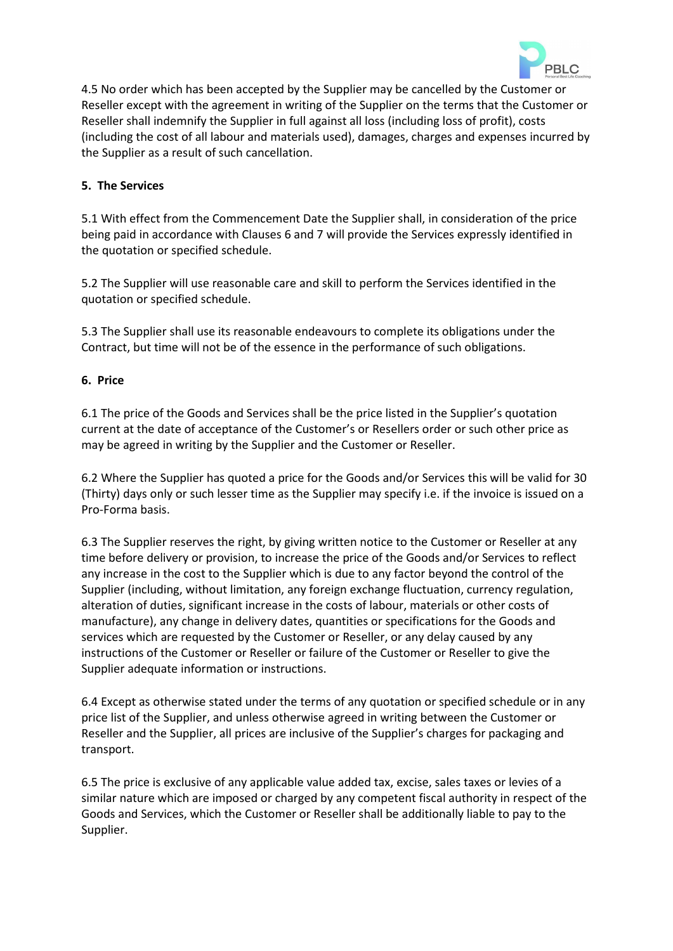

4.5 No order which has been accepted by the Supplier may be cancelled by the Customer or Reseller except with the agreement in writing of the Supplier on the terms that the Customer or Reseller shall indemnify the Supplier in full against all loss (including loss of profit), costs (including the cost of all labour and materials used), damages, charges and expenses incurred by the Supplier as a result of such cancellation.

# **5. The Services**

5.1 With effect from the Commencement Date the Supplier shall, in consideration of the price being paid in accordance with Clauses 6 and 7 will provide the Services expressly identified in the quotation or specified schedule.

5.2 The Supplier will use reasonable care and skill to perform the Services identified in the quotation or specified schedule.

5.3 The Supplier shall use its reasonable endeavours to complete its obligations under the Contract, but time will not be of the essence in the performance of such obligations.

### **6. Price**

6.1 The price of the Goods and Services shall be the price listed in the Supplier's quotation current at the date of acceptance of the Customer's or Resellers order or such other price as may be agreed in writing by the Supplier and the Customer or Reseller.

6.2 Where the Supplier has quoted a price for the Goods and/or Services this will be valid for 30 (Thirty) days only or such lesser time as the Supplier may specify i.e. if the invoice is issued on a Pro-Forma basis.

6.3 The Supplier reserves the right, by giving written notice to the Customer or Reseller at any time before delivery or provision, to increase the price of the Goods and/or Services to reflect any increase in the cost to the Supplier which is due to any factor beyond the control of the Supplier (including, without limitation, any foreign exchange fluctuation, currency regulation, alteration of duties, significant increase in the costs of labour, materials or other costs of manufacture), any change in delivery dates, quantities or specifications for the Goods and services which are requested by the Customer or Reseller, or any delay caused by any instructions of the Customer or Reseller or failure of the Customer or Reseller to give the Supplier adequate information or instructions.

6.4 Except as otherwise stated under the terms of any quotation or specified schedule or in any price list of the Supplier, and unless otherwise agreed in writing between the Customer or Reseller and the Supplier, all prices are inclusive of the Supplier's charges for packaging and transport.

6.5 The price is exclusive of any applicable value added tax, excise, sales taxes or levies of a similar nature which are imposed or charged by any competent fiscal authority in respect of the Goods and Services, which the Customer or Reseller shall be additionally liable to pay to the Supplier.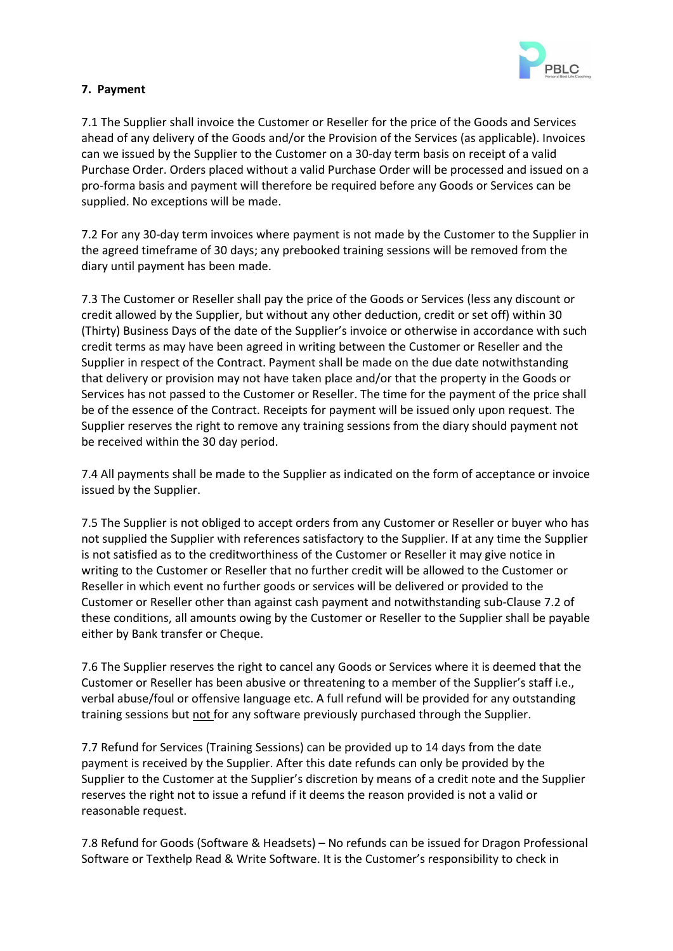

# **7. Payment**

7.1 The Supplier shall invoice the Customer or Reseller for the price of the Goods and Services ahead of any delivery of the Goods and/or the Provision of the Services (as applicable). Invoices can we issued by the Supplier to the Customer on a 30-day term basis on receipt of a valid Purchase Order. Orders placed without a valid Purchase Order will be processed and issued on a pro-forma basis and payment will therefore be required before any Goods or Services can be supplied. No exceptions will be made.

7.2 For any 30-day term invoices where payment is not made by the Customer to the Supplier in the agreed timeframe of 30 days; any prebooked training sessions will be removed from the diary until payment has been made.

7.3 The Customer or Reseller shall pay the price of the Goods or Services (less any discount or credit allowed by the Supplier, but without any other deduction, credit or set off) within 30 (Thirty) Business Days of the date of the Supplier's invoice or otherwise in accordance with such credit terms as may have been agreed in writing between the Customer or Reseller and the Supplier in respect of the Contract. Payment shall be made on the due date notwithstanding that delivery or provision may not have taken place and/or that the property in the Goods or Services has not passed to the Customer or Reseller. The time for the payment of the price shall be of the essence of the Contract. Receipts for payment will be issued only upon request. The Supplier reserves the right to remove any training sessions from the diary should payment not be received within the 30 day period.

7.4 All payments shall be made to the Supplier as indicated on the form of acceptance or invoice issued by the Supplier.

7.5 The Supplier is not obliged to accept orders from any Customer or Reseller or buyer who has not supplied the Supplier with references satisfactory to the Supplier. If at any time the Supplier is not satisfied as to the creditworthiness of the Customer or Reseller it may give notice in writing to the Customer or Reseller that no further credit will be allowed to the Customer or Reseller in which event no further goods or services will be delivered or provided to the Customer or Reseller other than against cash payment and notwithstanding sub-Clause 7.2 of these conditions, all amounts owing by the Customer or Reseller to the Supplier shall be payable either by Bank transfer or Cheque.

7.6 The Supplier reserves the right to cancel any Goods or Services where it is deemed that the Customer or Reseller has been abusive or threatening to a member of the Supplier's staff i.e., verbal abuse/foul or offensive language etc. A full refund will be provided for any outstanding training sessions but not for any software previously purchased through the Supplier.

7.7 Refund for Services (Training Sessions) can be provided up to 14 days from the date payment is received by the Supplier. After this date refunds can only be provided by the Supplier to the Customer at the Supplier's discretion by means of a credit note and the Supplier reserves the right not to issue a refund if it deems the reason provided is not a valid or reasonable request.

7.8 Refund for Goods (Software & Headsets) – No refunds can be issued for Dragon Professional Software or Texthelp Read & Write Software. It is the Customer's responsibility to check in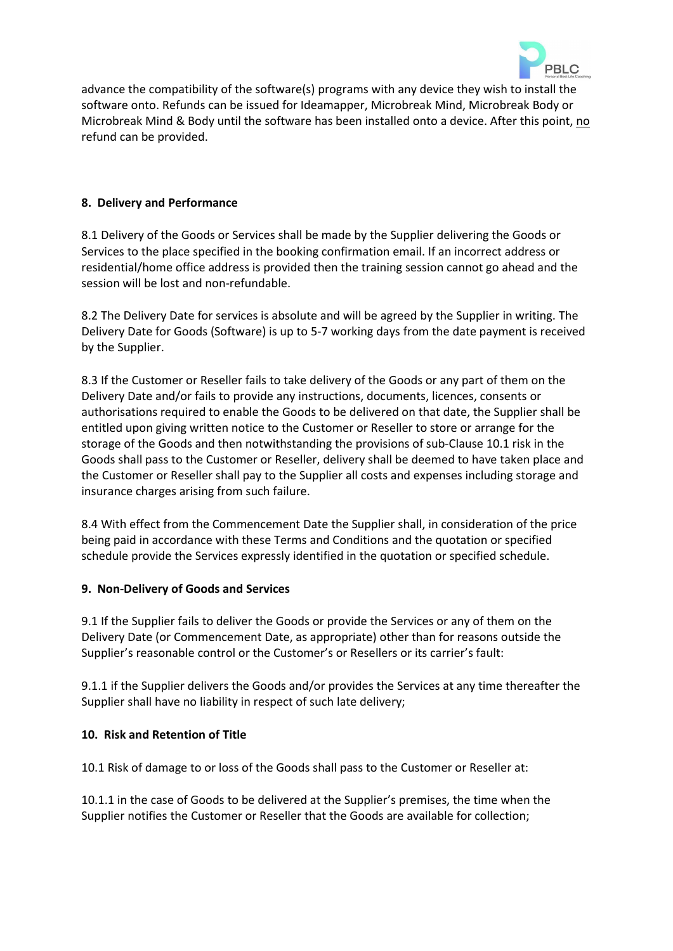

advance the compatibility of the software(s) programs with any device they wish to install the software onto. Refunds can be issued for Ideamapper, Microbreak Mind, Microbreak Body or Microbreak Mind & Body until the software has been installed onto a device. After this point, no refund can be provided.

# **8. Delivery and Performance**

8.1 Delivery of the Goods or Services shall be made by the Supplier delivering the Goods or Services to the place specified in the booking confirmation email. If an incorrect address or residential/home office address is provided then the training session cannot go ahead and the session will be lost and non-refundable.

8.2 The Delivery Date for services is absolute and will be agreed by the Supplier in writing. The Delivery Date for Goods (Software) is up to 5-7 working days from the date payment is received by the Supplier.

8.3 If the Customer or Reseller fails to take delivery of the Goods or any part of them on the Delivery Date and/or fails to provide any instructions, documents, licences, consents or authorisations required to enable the Goods to be delivered on that date, the Supplier shall be entitled upon giving written notice to the Customer or Reseller to store or arrange for the storage of the Goods and then notwithstanding the provisions of sub-Clause 10.1 risk in the Goods shall pass to the Customer or Reseller, delivery shall be deemed to have taken place and the Customer or Reseller shall pay to the Supplier all costs and expenses including storage and insurance charges arising from such failure.

8.4 With effect from the Commencement Date the Supplier shall, in consideration of the price being paid in accordance with these Terms and Conditions and the quotation or specified schedule provide the Services expressly identified in the quotation or specified schedule.

### **9. Non-Delivery of Goods and Services**

9.1 If the Supplier fails to deliver the Goods or provide the Services or any of them on the Delivery Date (or Commencement Date, as appropriate) other than for reasons outside the Supplier's reasonable control or the Customer's or Resellers or its carrier's fault:

9.1.1 if the Supplier delivers the Goods and/or provides the Services at any time thereafter the Supplier shall have no liability in respect of such late delivery;

### **10. Risk and Retention of Title**

10.1 Risk of damage to or loss of the Goods shall pass to the Customer or Reseller at:

10.1.1 in the case of Goods to be delivered at the Supplier's premises, the time when the Supplier notifies the Customer or Reseller that the Goods are available for collection;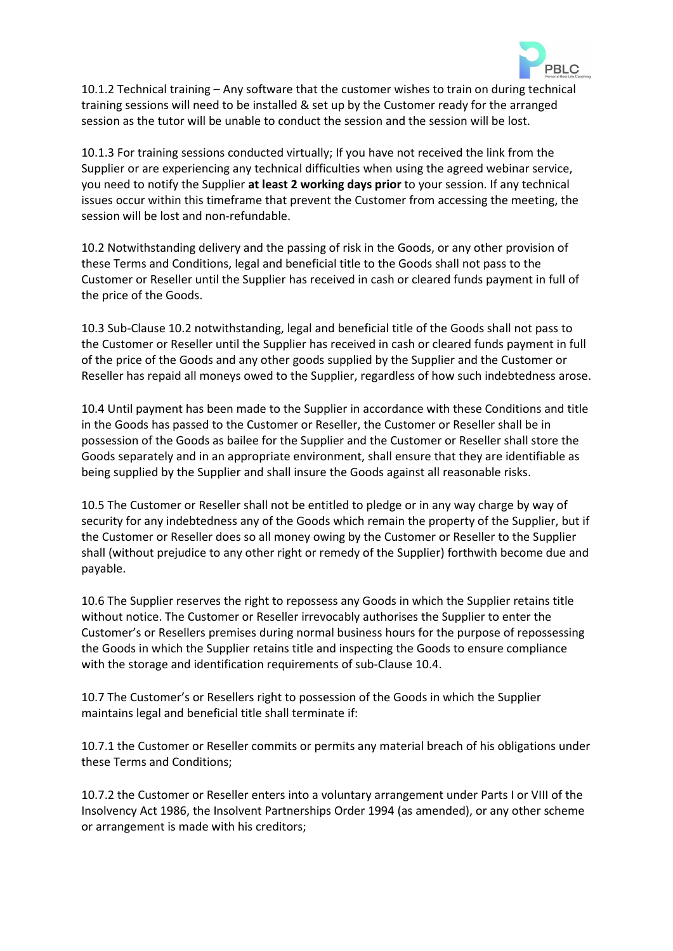

10.1.2 Technical training – Any software that the customer wishes to train on during technical training sessions will need to be installed & set up by the Customer ready for the arranged session as the tutor will be unable to conduct the session and the session will be lost.

10.1.3 For training sessions conducted virtually; If you have not received the link from the Supplier or are experiencing any technical difficulties when using the agreed webinar service, you need to notify the Supplier **at least 2 working days prior** to your session. If any technical issues occur within this timeframe that prevent the Customer from accessing the meeting, the session will be lost and non-refundable.

10.2 Notwithstanding delivery and the passing of risk in the Goods, or any other provision of these Terms and Conditions, legal and beneficial title to the Goods shall not pass to the Customer or Reseller until the Supplier has received in cash or cleared funds payment in full of the price of the Goods.

10.3 Sub-Clause 10.2 notwithstanding, legal and beneficial title of the Goods shall not pass to the Customer or Reseller until the Supplier has received in cash or cleared funds payment in full of the price of the Goods and any other goods supplied by the Supplier and the Customer or Reseller has repaid all moneys owed to the Supplier, regardless of how such indebtedness arose.

10.4 Until payment has been made to the Supplier in accordance with these Conditions and title in the Goods has passed to the Customer or Reseller, the Customer or Reseller shall be in possession of the Goods as bailee for the Supplier and the Customer or Reseller shall store the Goods separately and in an appropriate environment, shall ensure that they are identifiable as being supplied by the Supplier and shall insure the Goods against all reasonable risks.

10.5 The Customer or Reseller shall not be entitled to pledge or in any way charge by way of security for any indebtedness any of the Goods which remain the property of the Supplier, but if the Customer or Reseller does so all money owing by the Customer or Reseller to the Supplier shall (without prejudice to any other right or remedy of the Supplier) forthwith become due and payable.

10.6 The Supplier reserves the right to repossess any Goods in which the Supplier retains title without notice. The Customer or Reseller irrevocably authorises the Supplier to enter the Customer's or Resellers premises during normal business hours for the purpose of repossessing the Goods in which the Supplier retains title and inspecting the Goods to ensure compliance with the storage and identification requirements of sub-Clause 10.4.

10.7 The Customer's or Resellers right to possession of the Goods in which the Supplier maintains legal and beneficial title shall terminate if:

10.7.1 the Customer or Reseller commits or permits any material breach of his obligations under these Terms and Conditions;

10.7.2 the Customer or Reseller enters into a voluntary arrangement under Parts I or VIII of the Insolvency Act 1986, the Insolvent Partnerships Order 1994 (as amended), or any other scheme or arrangement is made with his creditors;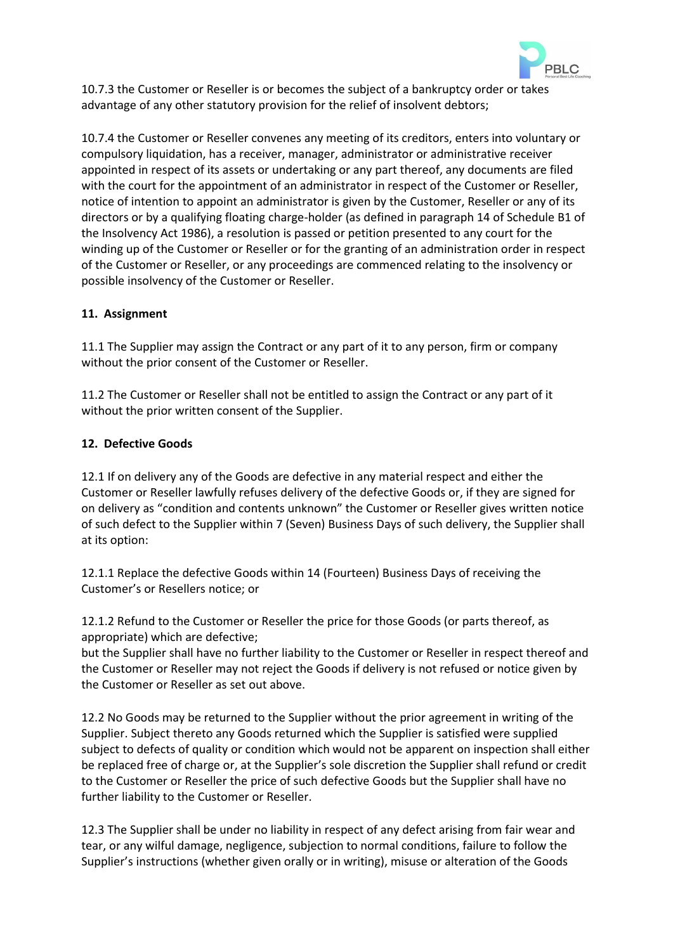

10.7.3 the Customer or Reseller is or becomes the subject of a bankruptcy order or takes advantage of any other statutory provision for the relief of insolvent debtors;

10.7.4 the Customer or Reseller convenes any meeting of its creditors, enters into voluntary or compulsory liquidation, has a receiver, manager, administrator or administrative receiver appointed in respect of its assets or undertaking or any part thereof, any documents are filed with the court for the appointment of an administrator in respect of the Customer or Reseller, notice of intention to appoint an administrator is given by the Customer, Reseller or any of its directors or by a qualifying floating charge-holder (as defined in paragraph 14 of Schedule B1 of the Insolvency Act 1986), a resolution is passed or petition presented to any court for the winding up of the Customer or Reseller or for the granting of an administration order in respect of the Customer or Reseller, or any proceedings are commenced relating to the insolvency or possible insolvency of the Customer or Reseller.

# **11. Assignment**

11.1 The Supplier may assign the Contract or any part of it to any person, firm or company without the prior consent of the Customer or Reseller.

11.2 The Customer or Reseller shall not be entitled to assign the Contract or any part of it without the prior written consent of the Supplier.

### **12. Defective Goods**

12.1 If on delivery any of the Goods are defective in any material respect and either the Customer or Reseller lawfully refuses delivery of the defective Goods or, if they are signed for on delivery as "condition and contents unknown" the Customer or Reseller gives written notice of such defect to the Supplier within 7 (Seven) Business Days of such delivery, the Supplier shall at its option:

12.1.1 Replace the defective Goods within 14 (Fourteen) Business Days of receiving the Customer's or Resellers notice; or

12.1.2 Refund to the Customer or Reseller the price for those Goods (or parts thereof, as appropriate) which are defective;

but the Supplier shall have no further liability to the Customer or Reseller in respect thereof and the Customer or Reseller may not reject the Goods if delivery is not refused or notice given by the Customer or Reseller as set out above.

12.2 No Goods may be returned to the Supplier without the prior agreement in writing of the Supplier. Subject thereto any Goods returned which the Supplier is satisfied were supplied subject to defects of quality or condition which would not be apparent on inspection shall either be replaced free of charge or, at the Supplier's sole discretion the Supplier shall refund or credit to the Customer or Reseller the price of such defective Goods but the Supplier shall have no further liability to the Customer or Reseller.

12.3 The Supplier shall be under no liability in respect of any defect arising from fair wear and tear, or any wilful damage, negligence, subjection to normal conditions, failure to follow the Supplier's instructions (whether given orally or in writing), misuse or alteration of the Goods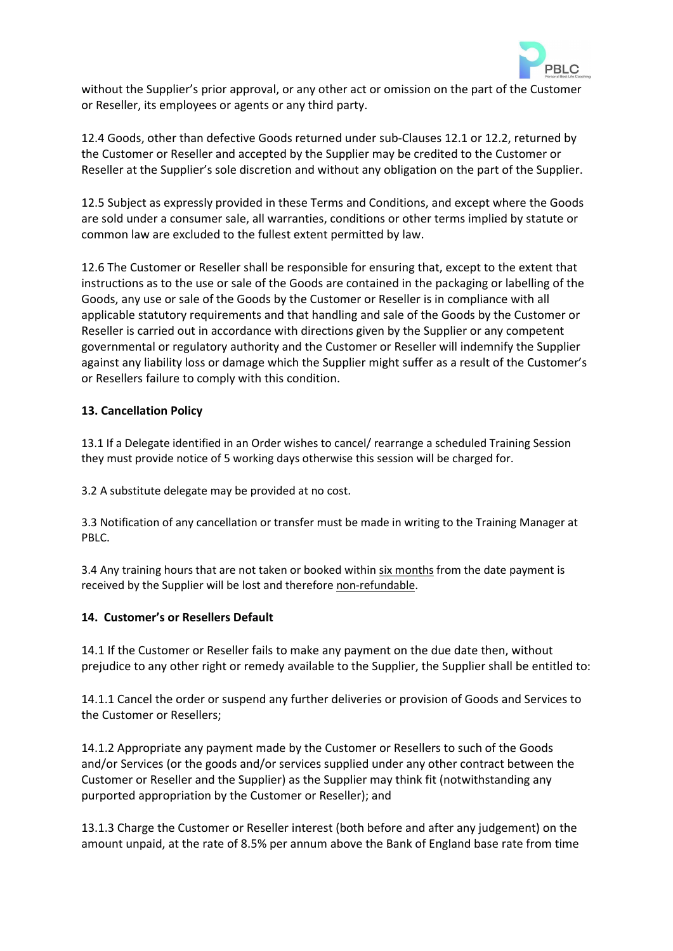

without the Supplier's prior approval, or any other act or omission on the part of the Customer or Reseller, its employees or agents or any third party.

12.4 Goods, other than defective Goods returned under sub-Clauses 12.1 or 12.2, returned by the Customer or Reseller and accepted by the Supplier may be credited to the Customer or Reseller at the Supplier's sole discretion and without any obligation on the part of the Supplier.

12.5 Subject as expressly provided in these Terms and Conditions, and except where the Goods are sold under a consumer sale, all warranties, conditions or other terms implied by statute or common law are excluded to the fullest extent permitted by law.

12.6 The Customer or Reseller shall be responsible for ensuring that, except to the extent that instructions as to the use or sale of the Goods are contained in the packaging or labelling of the Goods, any use or sale of the Goods by the Customer or Reseller is in compliance with all applicable statutory requirements and that handling and sale of the Goods by the Customer or Reseller is carried out in accordance with directions given by the Supplier or any competent governmental or regulatory authority and the Customer or Reseller will indemnify the Supplier against any liability loss or damage which the Supplier might suffer as a result of the Customer's or Resellers failure to comply with this condition.

### **13. Cancellation Policy**

13.1 If a Delegate identified in an Order wishes to cancel/ rearrange a scheduled Training Session they must provide notice of 5 working days otherwise this session will be charged for.

3.2 A substitute delegate may be provided at no cost.

3.3 Notification of any cancellation or transfer must be made in writing to the Training Manager at PBLC.

3.4 Any training hours that are not taken or booked within six months from the date payment is received by the Supplier will be lost and therefore non-refundable.

### **14. Customer's or Resellers Default**

14.1 If the Customer or Reseller fails to make any payment on the due date then, without prejudice to any other right or remedy available to the Supplier, the Supplier shall be entitled to:

14.1.1 Cancel the order or suspend any further deliveries or provision of Goods and Services to the Customer or Resellers;

14.1.2 Appropriate any payment made by the Customer or Resellers to such of the Goods and/or Services (or the goods and/or services supplied under any other contract between the Customer or Reseller and the Supplier) as the Supplier may think fit (notwithstanding any purported appropriation by the Customer or Reseller); and

13.1.3 Charge the Customer or Reseller interest (both before and after any judgement) on the amount unpaid, at the rate of 8.5% per annum above the Bank of England base rate from time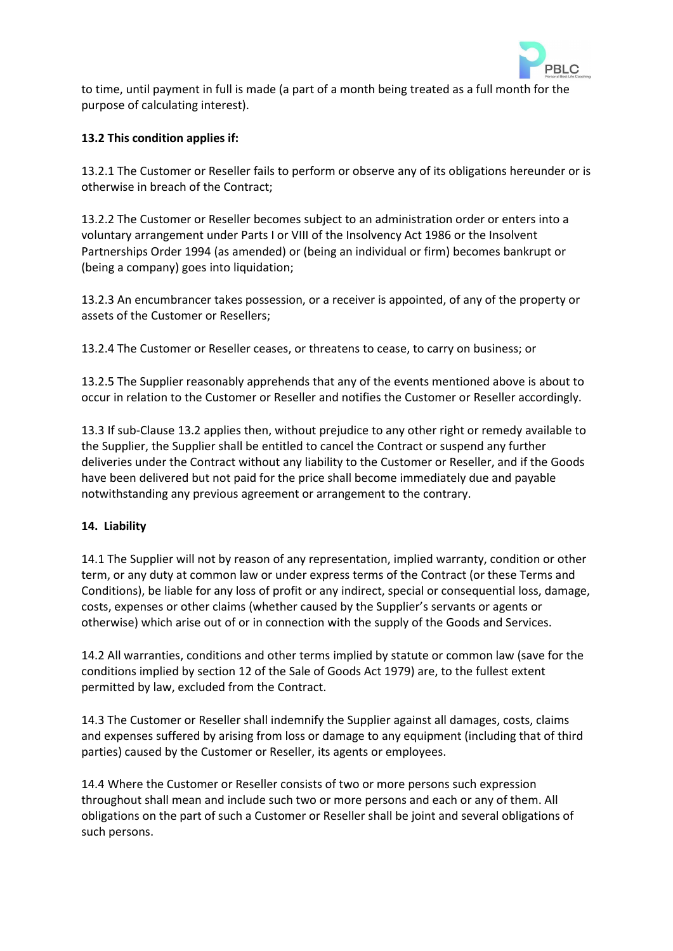

to time, until payment in full is made (a part of a month being treated as a full month for the purpose of calculating interest).

# **13.2 This condition applies if:**

13.2.1 The Customer or Reseller fails to perform or observe any of its obligations hereunder or is otherwise in breach of the Contract;

13.2.2 The Customer or Reseller becomes subject to an administration order or enters into a voluntary arrangement under Parts I or VIII of the Insolvency Act 1986 or the Insolvent Partnerships Order 1994 (as amended) or (being an individual or firm) becomes bankrupt or (being a company) goes into liquidation;

13.2.3 An encumbrancer takes possession, or a receiver is appointed, of any of the property or assets of the Customer or Resellers;

13.2.4 The Customer or Reseller ceases, or threatens to cease, to carry on business; or

13.2.5 The Supplier reasonably apprehends that any of the events mentioned above is about to occur in relation to the Customer or Reseller and notifies the Customer or Reseller accordingly.

13.3 If sub-Clause 13.2 applies then, without prejudice to any other right or remedy available to the Supplier, the Supplier shall be entitled to cancel the Contract or suspend any further deliveries under the Contract without any liability to the Customer or Reseller, and if the Goods have been delivered but not paid for the price shall become immediately due and payable notwithstanding any previous agreement or arrangement to the contrary.

### **14. Liability**

14.1 The Supplier will not by reason of any representation, implied warranty, condition or other term, or any duty at common law or under express terms of the Contract (or these Terms and Conditions), be liable for any loss of profit or any indirect, special or consequential loss, damage, costs, expenses or other claims (whether caused by the Supplier's servants or agents or otherwise) which arise out of or in connection with the supply of the Goods and Services.

14.2 All warranties, conditions and other terms implied by statute or common law (save for the conditions implied by section 12 of the Sale of Goods Act 1979) are, to the fullest extent permitted by law, excluded from the Contract.

14.3 The Customer or Reseller shall indemnify the Supplier against all damages, costs, claims and expenses suffered by arising from loss or damage to any equipment (including that of third parties) caused by the Customer or Reseller, its agents or employees.

14.4 Where the Customer or Reseller consists of two or more persons such expression throughout shall mean and include such two or more persons and each or any of them. All obligations on the part of such a Customer or Reseller shall be joint and several obligations of such persons.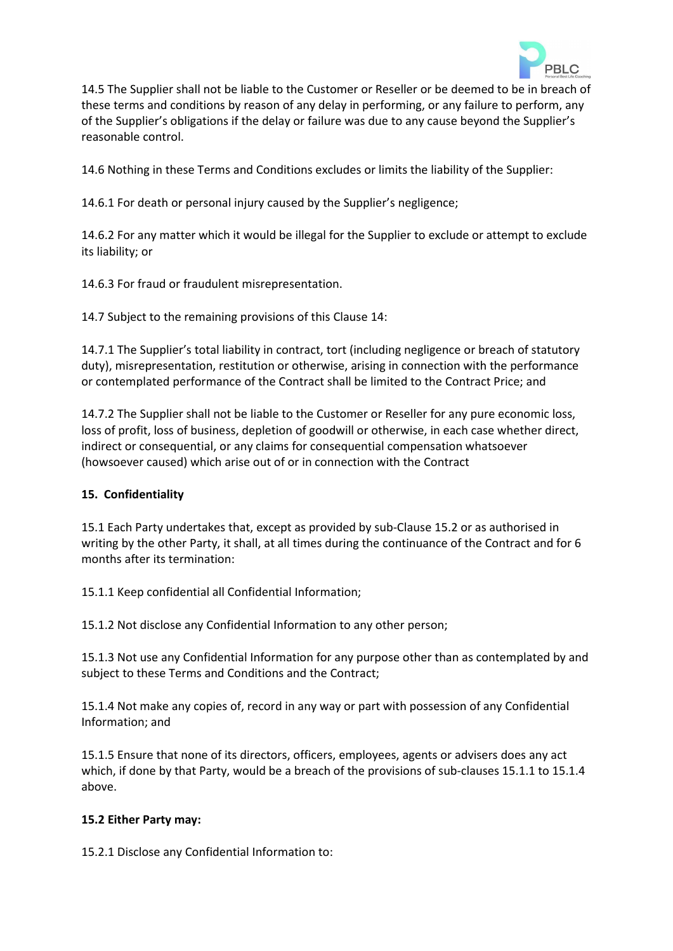

14.5 The Supplier shall not be liable to the Customer or Reseller or be deemed to be in breach of these terms and conditions by reason of any delay in performing, or any failure to perform, any of the Supplier's obligations if the delay or failure was due to any cause beyond the Supplier's reasonable control.

14.6 Nothing in these Terms and Conditions excludes or limits the liability of the Supplier:

14.6.1 For death or personal injury caused by the Supplier's negligence;

14.6.2 For any matter which it would be illegal for the Supplier to exclude or attempt to exclude its liability; or

14.6.3 For fraud or fraudulent misrepresentation.

14.7 Subject to the remaining provisions of this Clause 14:

14.7.1 The Supplier's total liability in contract, tort (including negligence or breach of statutory duty), misrepresentation, restitution or otherwise, arising in connection with the performance or contemplated performance of the Contract shall be limited to the Contract Price; and

14.7.2 The Supplier shall not be liable to the Customer or Reseller for any pure economic loss, loss of profit, loss of business, depletion of goodwill or otherwise, in each case whether direct, indirect or consequential, or any claims for consequential compensation whatsoever (howsoever caused) which arise out of or in connection with the Contract

### **15. Confidentiality**

15.1 Each Party undertakes that, except as provided by sub-Clause 15.2 or as authorised in writing by the other Party, it shall, at all times during the continuance of the Contract and for 6 months after its termination:

15.1.1 Keep confidential all Confidential Information;

15.1.2 Not disclose any Confidential Information to any other person;

15.1.3 Not use any Confidential Information for any purpose other than as contemplated by and subject to these Terms and Conditions and the Contract;

15.1.4 Not make any copies of, record in any way or part with possession of any Confidential Information; and

15.1.5 Ensure that none of its directors, officers, employees, agents or advisers does any act which, if done by that Party, would be a breach of the provisions of sub-clauses 15.1.1 to 15.1.4 above.

# **15.2 Either Party may:**

15.2.1 Disclose any Confidential Information to: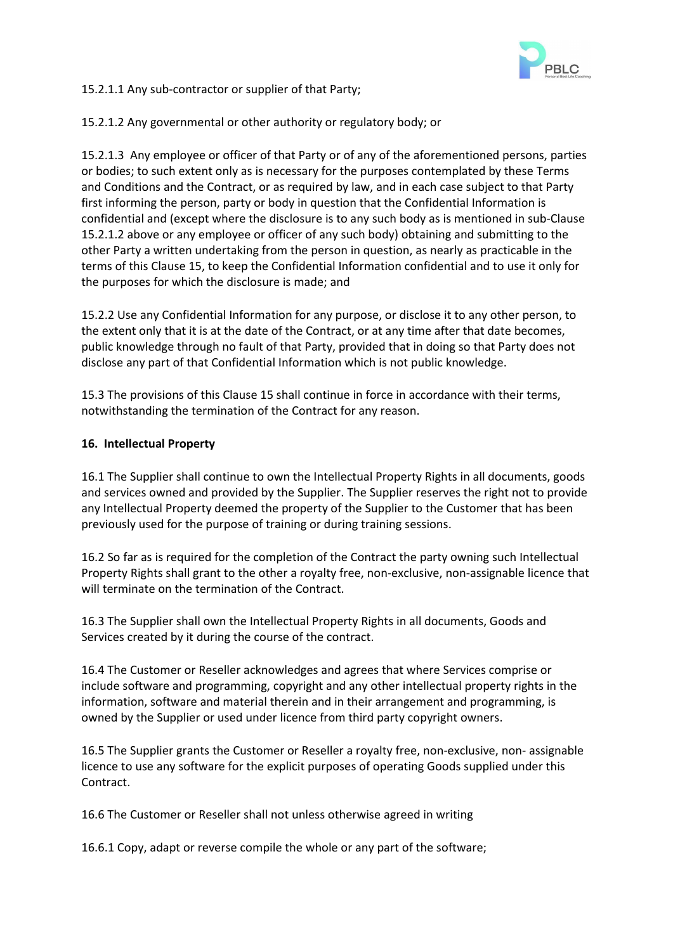

15.2.1.1 Any sub-contractor or supplier of that Party;

15.2.1.2 Any governmental or other authority or regulatory body; or

15.2.1.3 Any employee or officer of that Party or of any of the aforementioned persons, parties or bodies; to such extent only as is necessary for the purposes contemplated by these Terms and Conditions and the Contract, or as required by law, and in each case subject to that Party first informing the person, party or body in question that the Confidential Information is confidential and (except where the disclosure is to any such body as is mentioned in sub-Clause 15.2.1.2 above or any employee or officer of any such body) obtaining and submitting to the other Party a written undertaking from the person in question, as nearly as practicable in the terms of this Clause 15, to keep the Confidential Information confidential and to use it only for the purposes for which the disclosure is made; and

15.2.2 Use any Confidential Information for any purpose, or disclose it to any other person, to the extent only that it is at the date of the Contract, or at any time after that date becomes, public knowledge through no fault of that Party, provided that in doing so that Party does not disclose any part of that Confidential Information which is not public knowledge.

15.3 The provisions of this Clause 15 shall continue in force in accordance with their terms, notwithstanding the termination of the Contract for any reason.

# **16. Intellectual Property**

16.1 The Supplier shall continue to own the Intellectual Property Rights in all documents, goods and services owned and provided by the Supplier. The Supplier reserves the right not to provide any Intellectual Property deemed the property of the Supplier to the Customer that has been previously used for the purpose of training or during training sessions.

16.2 So far as is required for the completion of the Contract the party owning such Intellectual Property Rights shall grant to the other a royalty free, non-exclusive, non-assignable licence that will terminate on the termination of the Contract.

16.3 The Supplier shall own the Intellectual Property Rights in all documents, Goods and Services created by it during the course of the contract.

16.4 The Customer or Reseller acknowledges and agrees that where Services comprise or include software and programming, copyright and any other intellectual property rights in the information, software and material therein and in their arrangement and programming, is owned by the Supplier or used under licence from third party copyright owners.

16.5 The Supplier grants the Customer or Reseller a royalty free, non-exclusive, non- assignable licence to use any software for the explicit purposes of operating Goods supplied under this Contract.

16.6 The Customer or Reseller shall not unless otherwise agreed in writing

16.6.1 Copy, adapt or reverse compile the whole or any part of the software;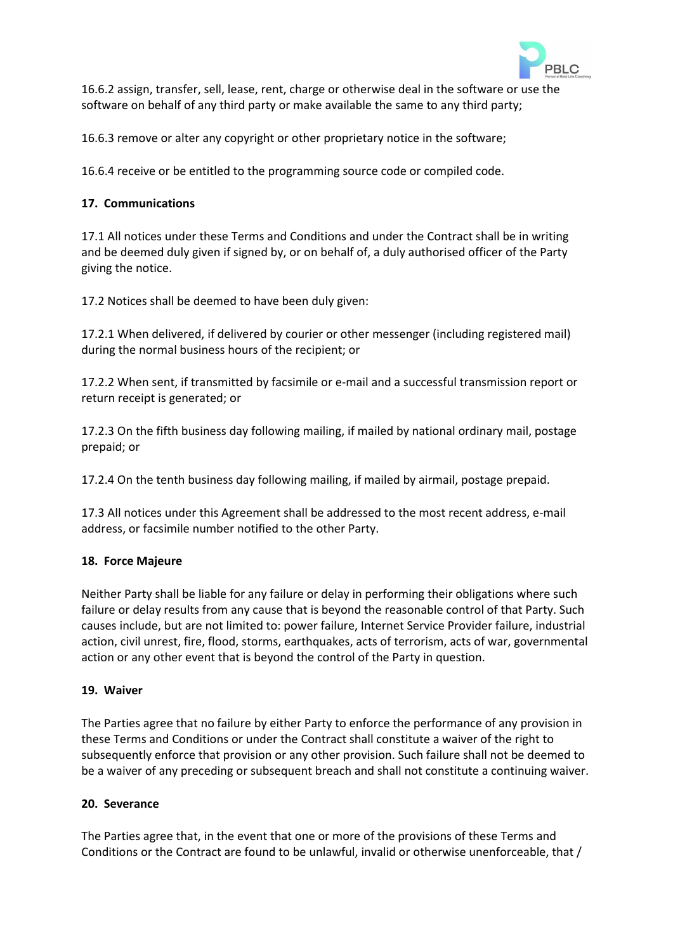

16.6.2 assign, transfer, sell, lease, rent, charge or otherwise deal in the software or use the software on behalf of any third party or make available the same to any third party;

16.6.3 remove or alter any copyright or other proprietary notice in the software;

16.6.4 receive or be entitled to the programming source code or compiled code.

#### **17. Communications**

17.1 All notices under these Terms and Conditions and under the Contract shall be in writing and be deemed duly given if signed by, or on behalf of, a duly authorised officer of the Party giving the notice.

17.2 Notices shall be deemed to have been duly given:

17.2.1 When delivered, if delivered by courier or other messenger (including registered mail) during the normal business hours of the recipient; or

17.2.2 When sent, if transmitted by facsimile or e-mail and a successful transmission report or return receipt is generated; or

17.2.3 On the fifth business day following mailing, if mailed by national ordinary mail, postage prepaid; or

17.2.4 On the tenth business day following mailing, if mailed by airmail, postage prepaid.

17.3 All notices under this Agreement shall be addressed to the most recent address, e-mail address, or facsimile number notified to the other Party.

#### **18. Force Majeure**

Neither Party shall be liable for any failure or delay in performing their obligations where such failure or delay results from any cause that is beyond the reasonable control of that Party. Such causes include, but are not limited to: power failure, Internet Service Provider failure, industrial action, civil unrest, fire, flood, storms, earthquakes, acts of terrorism, acts of war, governmental action or any other event that is beyond the control of the Party in question.

#### **19. Waiver**

The Parties agree that no failure by either Party to enforce the performance of any provision in these Terms and Conditions or under the Contract shall constitute a waiver of the right to subsequently enforce that provision or any other provision. Such failure shall not be deemed to be a waiver of any preceding or subsequent breach and shall not constitute a continuing waiver.

#### **20. Severance**

The Parties agree that, in the event that one or more of the provisions of these Terms and Conditions or the Contract are found to be unlawful, invalid or otherwise unenforceable, that /